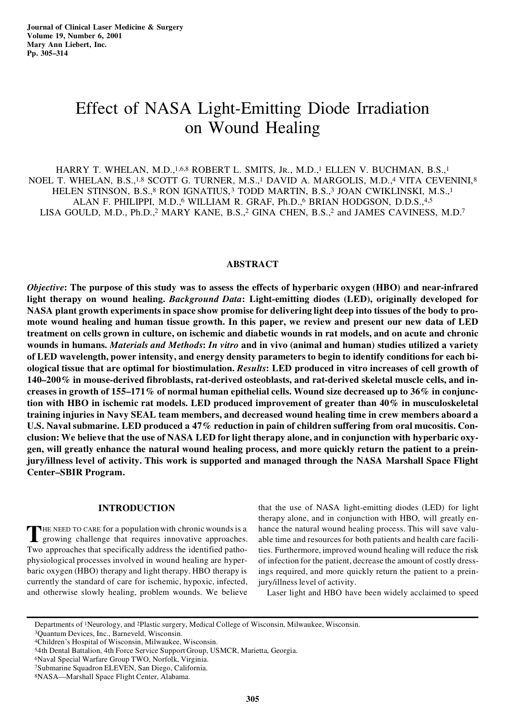# Effect of NASA Light-Emitting Diode Irradiation on Wound Healing

HARRY T. WHELAN, M.D.,<sup>1,6,8</sup> ROBERT L. SMITS, Jr., M.D.,<sup>1</sup> ELLEN V. BUCHMAN, B.S.,<sup>1</sup> NOEL T. WHELAN, B.S.,<sup>1,8</sup> SCOTT G. TURNER, M.S.,<sup>1</sup> DAVID A. MARGOLIS, M.D.,<sup>4</sup> VITA CEVENINI,<sup>8</sup> HELEN STINSON, B.S.,<sup>8</sup> RON IGNATIUS,<sup>3</sup> TODD MARTIN, B.S.,<sup>3</sup> JOAN CWIKLINSKI, M.S.,<sup>1</sup> ALAN F. PHILIPPI, M.D.,6 WILLIAM R. GRAF, Ph.D.,6 BRIAN HODGSON, D.D.S.,4,5 LISA GOULD, M.D., Ph.D.,2 MARY KANE, B.S.,2 GINA CHEN, B.S.,2 and JAMES CAVINESS, M.D.7

# **ABSTRACT**

*Objective***: The purpose of this study was to assess the effects of hyperbaric oxygen (HBO) and near-infrared light therapy on wound healing.** *Background Data***: Light-emitting diodes (LED), originally developed for NASA plant growth experiments in space show promise for delivering light deep into tissues of the body to promote wound healing and human tissue growth. In this paper, we review and present our new data of LED treatment on cells grown in culture, on ischemic and diabetic wounds in rat models, and on acute and chronic wounds in humans.** *Materials and Methods***:** *In vitro* **and in vivo (animal and human) studies utilized a variety of LED wavelength, power intensity, and energy density parameters to begin to identify conditions for each biological tissue that are optimal for biostimulation.** *Results***: LED produced in vitro increases of cell growth of 140–200% in mouse-derived fibroblasts, rat-derived osteoblasts, and rat-derived skeletal muscle cells, and increases in growth of 155–171% of normal human epithelial cells. Wound size decreased up to 36% in conjunction with HBO in ischemic rat models. LED produced improvement of greater than 40% in musculoskeletal training injuries in Navy SEAL team members, and decreased wound healing time in crew members aboard a U.S. Naval submarine. LED produced a 47% reduction in pain of children suffering from oral mucositis. Conclusion: We believe that the use of NASA LED for light therapy alone, and in conjunction with hyperbaric oxygen, will greatly enhance the natural wound healing process, and more quickly return the patient to a preinjury/illness level of activity. This work is supported and managed through the NASA Marshall Space Flight Center–SBIR Program.**

# **INTRODUCTION**

THE NEED TO CARE for a population with chronic wounds is a growing challenge that requires innovative approaches. growing challenge that requires innovative approaches. Two approaches that specifically address the identified pathophysiological processes involved in wound healing are hyperbaric oxygen (HBO) therapy and light therapy. HBO therapy is currently the standard of care for ischemic, hypoxic, infected, and otherwise slowly healing, problem wounds. We believe

that the use of NASA light-emitting diodes (LED) for light therapy alone, and in conjunction with HBO, will greatly en hance the natural wound healing process. This will save valuable time and resources for both patients and health care facilities. Furthermore, improved wound healing will reduce the risk of infection for the patient, decrease the amount of costly dressings required, and more quickly return the patient to a preinjury/illness level of activity.

Laser light and HBO have been widely acclaimed to speed

<sup>3</sup>Quantum Devices, Inc., Barneveld, Wisconsin.

Departments of 1Neurology, and 2Plastic surgery, Medical College of Wisconsin, Milwaukee, Wisconsin.

<sup>4</sup>Children's Hospital of Wisconsin, Milwaukee, Wisconsin.

<sup>5</sup>4th Dental Battalion, 4th Force Service Support Group, USMCR, Marietta, Georgia.

<sup>6</sup>Naval Special Warfare Group TWO, Norfolk, Virginia.

<sup>7</sup>Submarine Squadron ELEVEN, San Diego, California.

<sup>8</sup>NASA—Marshall Space Flight Center, Alabama.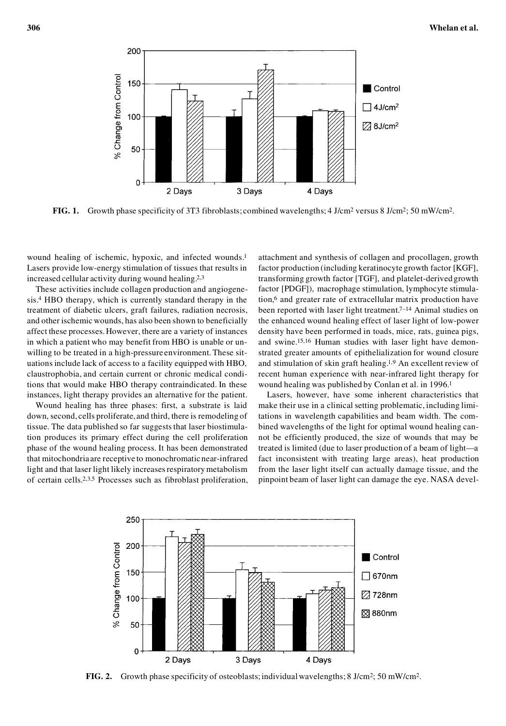

**FIG. 1.** Growth phase specificity of 3T3 fibroblasts; combined wavelengths; 4 J/cm<sup>2</sup> versus 8 J/cm<sup>2</sup>; 50 mW/cm<sup>2</sup>.

wound healing of ischemic, hypoxic, and infected wounds.1 Lasers provide low-energy stimulation of tissues that results in increased cellular activity during wound healing.2,3

These activities include collagen production and angiogenesis.4 HBO therapy, which is currently standard therapy in the treatment of diabetic ulcers, graft failures, radiation necrosis, and other ischemic wounds, has also been shown to beneficially affect these processes. However, there are a variety of instances in which a patient who may benefit from HBO is unable or un willing to be treated in a high-pressure environment. These situations include lack of access to a facility equipped with HBO, claustrophobia, and certain current or chronic medical conditions that would make HBO therapy contraindicated. In these instances, light therapy provides an alternative for the patient.

Wound healing has three phases: first, a substrate is laid down, second, cells proliferate, and third, there is remodeling of tissue. The data published so far suggests that laser biostimulation produces its primary effect during the cell proliferation phase of the wound healing process. It has been demonstrated that mitochondria are receptive to monochromatic near-infrared light and that laser light likely increases respiratory metabolism of certain cells.2,3,5 Processes such as fibroblast proliferation, attachment and synthesis of collagen and procollagen, growth factor production (including keratinocyte growth factor [KGF], transforming growth factor [TGF], and platelet-derived growth factor [PDGF]), macrophage stimulation, lymphocyte stimulation,6 and greater rate of extracellular matrix production have been reported with laser light treatment.<sup>7–14</sup> Animal studies on the enhanced wound healing effect of laser light of low-power density have been performed in toads, mice, rats, guinea pigs, and swine.15,16 Human studies with laser light have demonstrated greater amounts of epithelialization for wound closure and stimulation of skin graft healing.1,9 An excellent review of recent human experience with near-infrared light therapy for wound healing was published by Conlan et al. in 1996.1

Lasers, however, have some inherent characteristics that make their use in a clinical setting problematic, including limitations in wavelength capabilities and beam width. The com bined wavelengths of the light for optimal wound healing can not be efficiently produced, the size of wounds that may be treated is limited (due to laser production of a beam of light—a fact inconsistent with treating large areas), heat production from the laser light itself can actually damage tissue, and the pinpoint beam of laser light can damage the eye. NASA devel-



**FIG. 2.** Growth phase specificity of osteoblasts; individual wavelengths; 8 J/cm<sup>2</sup>; 50 mW/cm<sup>2</sup>.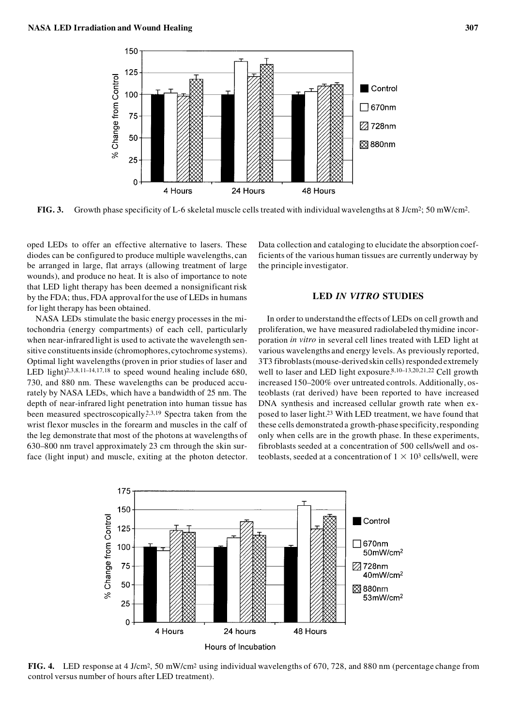

**FIG. 3.** Growth phase specificity of L-6 skeletal muscle cells treated with individual wavelengths at 8 J/cm<sup>2</sup>; 50 mW/cm<sup>2</sup>.

oped LEDs to offer an effective alternative to lasers. These diodes can be configured to produce multiple wavelengths, can be arranged in large, flat arrays (allowing treatment of large wounds), and produce no heat. It is also of importance to note that LED light therapy has been deemed a nonsignificant risk by the FDA; thus, FDA approval for the use of LEDs in humans for light therapy has been obtained.

NASA LEDs stimulate the basic energy processes in the mitochondria (energy compartments) of each cell, particularly when near-infrared light is used to activate the wavelength sensitive constituents inside (chromophores, cytochrome systems). Optimal light wavelengths (proven in prior studies of laser and LED light)<sup>2,3,8,11-14,17,18</sup> to speed wound healing include 680, 730, and 880 nm. These wavelengths can be produced accurately by NASA LEDs, which have a bandwidth of 25 nm. The depth of near-infrared light penetration into human tissue has been measured spectroscopically.<sup>2,3,19</sup> Spectra taken from the wrist flexor muscles in the forearm and muscles in the calf of the leg demonstrate that most of the photons at wavelengths of 630–800 nm travel approximately 23 cm through the skin surface (light input) and muscle, exiting at the photon detector. Data collection and cataloging to elucidate the absorption coefficients of the various human tissues are currently underway by the principle investigator.

# **LED** *IN VITRO* **STUDIES**

In order to understand the effects of LEDs on cell growth and proliferation, we have measured radiolabeled thymidine incorporation *in vitro* in several cell lines treated with LED light at various wavelengths and energy levels. As previously reported, 3T3 fibroblasts (mouse-derived skin cells) responded extremely well to laser and LED light exposure.8,10–13,20,21,22 Cell growth increased 150–200% over untreated controls. Additionally, osteoblasts (rat derived) have been reported to have increased DNA synthesis and increased cellular growth rate when ex posed to laser light.23 With LED treatment, we have found that these cells demonstrated a growth-phase specificity, responding only when cells are in the growth phase. In these experiments, fibroblasts seeded at a concentration of 500 cells/well and osteoblasts, seeded at a concentration of  $1 \times 10^3$  cells/well, were



**FIG. 4.** LED response at 4 J/cm2, 50 mW/cm<sup>2</sup> using individual wavelengths of 670, 728, and 880 nm (percentage change from control versus number of hours after LED treatment).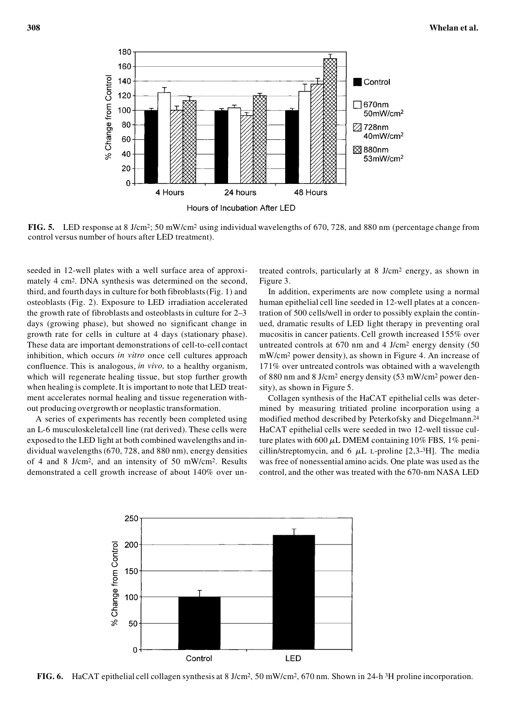

**FIG. 5.** LED response at 8 J/cm2; 50 mW/cm<sup>2</sup> using individual wavelengths of 670, 728, and 880 nm (percentage change from control versus number of hours after LED treatment).

seeded in 12-well plates with a well surface area of approximately 4 cm2. DNA synthesis was determined on the second, third, and fourth days in culture for both fibroblasts (Fig. 1) and osteoblasts (Fig. 2). Exposure to LED irradiation accelerated the growth rate of fibroblasts and osteoblasts in culture for 2–3 days (growing phase), but showed no significant change in growth rate for cells in culture at 4 days (stationary phase). These data are important demonstrations of cell-to-cell contact inhibition, which occurs *in vitro* once cell cultures approach confluence. This is analogous, *in vivo,* to a healthy organism, which will regenerate healing tissue, but stop further growth when healing is complete. It is important to note that LED treatment accelerates normal healing and tissue regeneration without producing overgrowth or neoplastic transformation.

A series of experiments has recently been completed using an L-6 musculoskeletal cell line (rat derived). These cells were exposed to the LED light at both combined wavelengths and individual wavelengths (670, 728, and 880 nm), energy densities of 4 and 8 J/cm2, and an intensity of 50 mW/cm2. Results demonstrated a cell growth increase of about 140% over untreated controls, particularly at 8 J/cm2 energy, as shown in Figure 3.

In addition, experiments are now complete using a normal human epithelial cell line seeded in 12-well plates at a concentration of 500 cells/well in order to possibly explain the continued, dramatic results of LED light therapy in preventing oral mucositis in cancer patients. Cell growth increased 155% over untreated controls at 670 nm and 4 J/cm2 energy density (50 mW/cm2 power density), as shown in Figure 4. An increase of 171% over untreated controls was obtained with a wavelength of 880 nm and 8 J/cm2 energy density (53 mW/cm2 power density), as shown in Figure 5.

Collagen synthesis of the HaCAT epithelial cells was determined by measuring tritiated proline incorporation using a modified method described by Peterkofsky and Diegelmann.24 HaCAT epithelial cells were seeded in two 12-well tissue culture plates with  $600 \mu L$  DMEM containing  $10\%$  FBS,  $1\%$  penicillin/streptomycin, and  $6 \mu L$  L-proline [2,3-3H]. The media was free of nonessential amino acids. One plate was used as the control, and the other was treated with the 670-nm NASA LED



**FIG. 6.** HaCAT epithelial cell collagen synthesis at 8 J/cm2, 50 mW/cm2, 670 nm. Shown in 24-h 3H proline incorporation.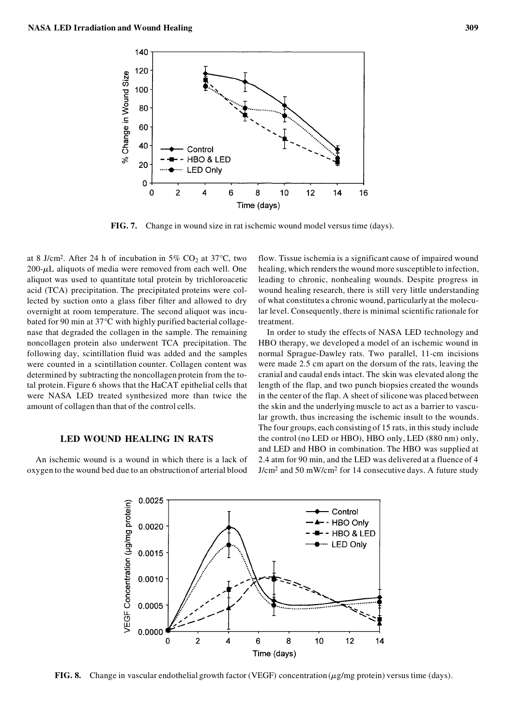

**FIG. 7.** Change in wound size in rat ischemic wound model versus time (days).

at 8 J/cm<sup>2</sup>. After 24 h of incubation in 5% CO<sub>2</sub> at 37°C, two 200-*m*L aliquots of media were removed from each well. One aliquot was used to quantitate total protein by trichloroacetic acid (TCA) precipitation. The precipitated proteins were collected by suction onto a glass fiber filter and allowed to dry overnight at room temperature. The second aliquot was incubated for 90 min at 37°C with highly purified bacterial collage nase that degraded the collagen in the sample. The remaining noncollagen protein also underwent TCA precipitation. The following day, scintillation fluid was added and the samples were counted in a scintillation counter. Collagen content was determined by subtracting the noncollagen protein from the total protein. Figure 6 shows that the HaCAT epithelial cells that were NASA LED treated synthesized more than twice the amount of collagen than that of the control cells.

## **LED WOUND HEALING IN RATS**

An ischemic wound is a wound in which there is a lack of oxygen to the wound bed due to an obstruction of arterial blood flow. Tissue ischemia is a significant cause of impaired wound healing, which renders the wound more susceptible to infection, leading to chronic, nonhealing wounds. Despite progress in wound healing research, there is still very little understanding of what constitutes a chronic wound, particularly at the molecular level. Consequently, there is minimal scientific rationale for treatment.

In order to study the effects of NASA LED technology and HBO therapy, we developed a model of an ischemic wound in normal Sprague-Dawley rats. Two parallel, 11-cm incisions were made 2.5 cm apart on the dorsum of the rats, leaving the cranial and caudal ends intact. The skin was elevated along the length of the flap, and two punch biopsies created the wounds in the center of the flap. A sheet of silicone was placed between the skin and the underlying muscle to act as a barrier to vascular growth, thus increasing the ischemic insult to the wounds. The four groups, each consisting of 15 rats, in this study include the control (no LED or HBO), HBO only, LED (880 nm) only, and LED and HBO in combination. The HBO was supplied at 2.4 atm for 90 min, and the LED was delivered at a fluence of 4 J/cm2 and 50 mW/cm2 for 14 consecutive days. A future study



**FIG. 8.** Change in vascular endothelial growth factor (VEGF) concentration (*m*g/mg protein) versus time (days).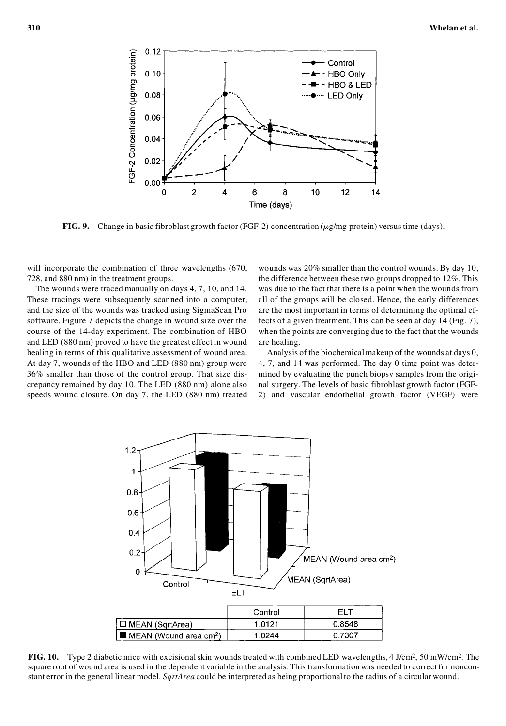

**FIG. 9.** Change in basic fibroblast growth factor (FGF-2) concentration (*m*g/mg protein) versus time (days).

will incorporate the combination of three wavelengths (670, 728, and 880 nm) in the treatment groups.

The wounds were traced manually on days 4, 7, 10, and 14. These tracings were subsequently scanned into a computer, and the size of the wounds was tracked using SigmaScan Pro software. Figure 7 depicts the change in wound size over the course of the 14-day experiment. The combination of HBO and LED (880 nm) proved to have the greatest effect in wound healing in terms of this qualitative assessment of wound area. At day 7, wounds of the HBO and LED (880 nm) group were 36% smaller than those of the control group. That size discrepancy remained by day 10. The LED (880 nm) alone also speeds wound closure. On day 7, the LED (880 nm) treated wounds was 20% smaller than the control wounds. By day 10, the difference between these two groups dropped to 12%. This was due to the fact that there is a point when the wounds from all of the groups will be closed. Hence, the early differences are the most important in terms of determining the optimal effects of a given treatment. This can be seen at day 14 (Fig. 7), when the points are converging due to the fact that the wounds are healing.

Analysis of the biochemical makeup of the wounds at days 0, 4, 7, and 14 was performed. The day 0 time point was determined by evaluating the punch biopsy samples from the original surgery. The levels of basic fibroblast growth factor (FGF-2) and vascular endothelial growth factor (VEGF) were



**FIG. 10.** Type 2 diabetic mice with excisional skin wounds treated with combined LED wavelengths, 4 J/cm2, 50 mW/cm2. The square root of wound area is used in the dependent variable in the analysis. This transformation was needed to correct for nonconstant error in the general linear model. *SqrtArea* could be interpreted as being proportional to the radius of a circular wound.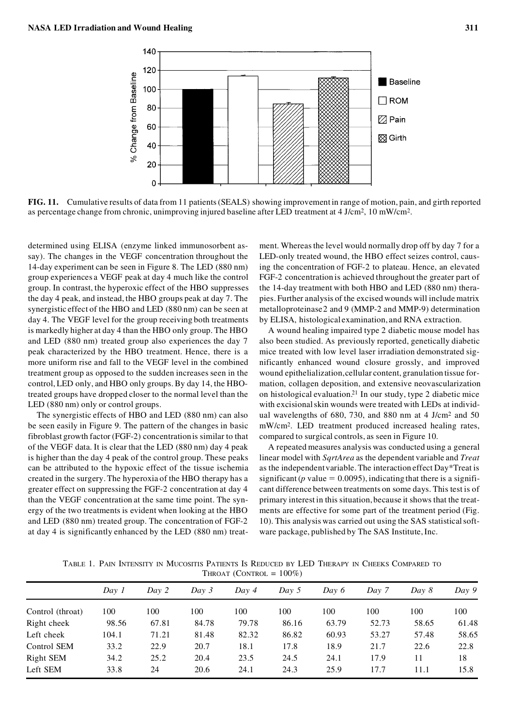

**FIG. 11.** Cumulative results of data from 11 patients (SEALS) showing improvement in range of motion, pain, and girth reported as percentage change from chronic, unimproving injured baseline after LED treatment at 4 J/cm<sup>2</sup>, 10 mW/cm<sup>2</sup>.

determined using ELISA (enzyme linked immunosorbent assay). The changes in the VEGF concentration throughout the 14-day experiment can be seen in Figure 8. The LED (880 nm) group experiences a VEGF peak at day 4 much like the control group. In contrast, the hyperoxic effect of the HBO suppresses the day 4 peak, and instead, the HBO groups peak at day 7. The synergistic effect of the HBO and LED (880 nm) can be seen at day 4. The VEGF level for the group receiving both treatments is markedly higher at day 4 than the HBO only group. The HBO and LED (880 nm) treated group also experiences the day 7 peak characterized by the HBO treatment. Hence, there is a more uniform rise and fall to the VEGF level in the combined treatment group as opposed to the sudden increases seen in the control, LED only, and HBO only groups. By day 14, the HBOtreated groups have dropped closer to the normal level than the LED (880 nm) only or control groups.

The synergistic effects of HBO and LED (880 nm) can also be seen easily in Figure 9. The pattern of the changes in basic fibroblast growth factor (FGF-2) concentration is similar to that of the VEGF data. It is clear that the LED (880 nm) day 4 peak is higher than the day 4 peak of the control group. These peaks can be attributed to the hypoxic effect of the tissue ischemia created in the surgery. The hyperoxia of the HBO therapy has a greater effect on suppressing the FGF-2 concentration at day 4 than the VEGF concentration at the same time point. The synergy of the two treatments is evident when looking at the HBO and LED (880 nm) treated group. The concentration of FGF-2 at day 4 is significantly enhanced by the LED (880 nm) treat-

ment. Whereas the level would normally drop off by day 7 for a LED-only treated wound, the HBO effect seizes control, causing the concentration of FGF-2 to plateau. Hence, an elevated FGF-2 concentration is achieved throughout the greater part of the 14-day treatment with both HBO and LED (880 nm) therapies. Further analysis of the excised wounds will include matrix metalloproteinase 2 and 9 (MMP-2 and MMP-9) determination by ELISA, histological examination, and RNA extraction.

A wound healing impaired type 2 diabetic mouse model has also been studied. As previously reported, genetically diabetic mice treated with low level laser irradiation demonstrated significantly enhanced wound closure grossly, and improved wound epithelialization, cellular content, granulation tissue formation, collagen deposition, and extensive neovascularization on histological evaluation.21 In our study, type 2 diabetic mice with excisional skin wounds were treated with LEDs at individual wavelengths of 680, 730, and 880 nm at 4 J/cm2 and 50 mW/cm2. LED treatment produced increased healing rates, compared to surgical controls, as seen in Figure 10.

A repeated measures analysis was conducted using a general linear model with *SqrtArea* as the dependent variable and *Treat* as the independent variable. The interaction effect Day\*Treat is significant ( $p$  value = 0.0095), indicating that there is a significant difference between treatments on some days. This test is of primary interest in this situation, because it shows that the treatments are effective for some part of the treatment period (Fig. 10). This analysis was carried out using the SAS statistical soft ware package, published by The SAS Institute, Inc.

TABLE 1. PAIN INTENSITY IN MUCOSITIS PATIENTS IS REDUCED BY LED THERAPY IN CHEEKS COMPARED TO THROAT (CONTROL =  $100\%$ )

|                  | Dav 1 | Day 2 | Day 3 | Day 4 | Day 5 | Day 6 | Day 7 | Day 8 | Day 9 |
|------------------|-------|-------|-------|-------|-------|-------|-------|-------|-------|
| Control (throat) | 100   | 100   | 100   | 100   | 100   | 100   | 100   | 100   | 100   |
| Right cheek      | 98.56 | 67.81 | 84.78 | 79.78 | 86.16 | 63.79 | 52.73 | 58.65 | 61.48 |
| Left cheek       | 104.1 | 71.21 | 81.48 | 82.32 | 86.82 | 60.93 | 53.27 | 57.48 | 58.65 |
| Control SEM      | 33.2  | 22.9  | 20.7  | 18.1  | 17.8  | 18.9  | 21.7  | 22.6  | 22.8  |
| Right SEM        | 34.2  | 25.2  | 20.4  | 23.5  | 24.5  | 24.1  | 17.9  | 11    | 18    |
| Left SEM         | 33.8  | 24    | 20.6  | 24.1  | 24.3  | 25.9  | 17.7  | 11.1  | 15.8  |
|                  |       |       |       |       |       |       |       |       |       |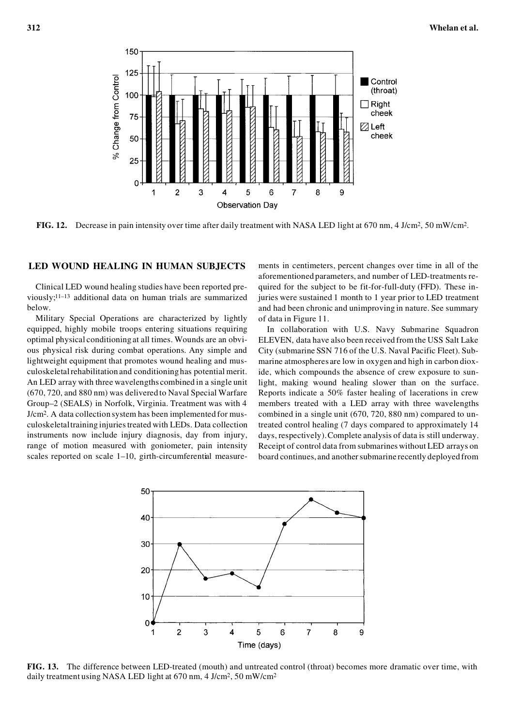

**FIG. 12.** Decrease in pain intensity over time after daily treatment with NASA LED light at 670 nm, 4 J/cm2, 50 mW/cm2.

#### **LED WOUND HEALING IN HUMAN SUBJECTS**

Clinical LED wound healing studies have been reported previously;11–13 additional data on human trials are summarized below.

Military Special Operations are characterized by lightly equipped, highly mobile troops entering situations requiring optimal physical conditioning at all times. Wounds are an obvi ous physical risk during combat operations. Any simple and lightweight equipment that promotes wound healing and mus culoskeletal rehabilitation and conditioning has potential merit. An LED array with three wavelengths combined in a single unit (670, 720, and 880 nm) was delivered to Naval Special Warfare Group–2 (SEALS) in Norfolk, Virginia. Treatment was with 4 J/cm2. A data collection system has been implemented for mus culoskeletal training injuries treated with LEDs. Data collection instruments now include injury diagnosis, day from injury, range of motion measured with goniometer, pain intensity scales reported on scale 1-10, girth-circumferential measurements in centimeters, percent changes over time in all of the aforementioned parameters, and number of LED-treatments re quired for the subject to be fit-for-full-duty (FFD). These injuries were sustained 1 month to 1 year prior to LED treatment and had been chronic and unimproving in nature. See summary of data in Figure 11.

In collaboration with U.S. Navy Submarine Squadron ELEVEN, data have also been received from the USS Salt Lake City (submarine SSN 716 of the U.S. Naval Pacific Fleet). Submarine atmospheres are low in oxygen and high in carbon dioxide, which compounds the absence of crew exposure to sunlight, making wound healing slower than on the surface. Reports indicate a 50% faster healing of lacerations in crew members treated with a LED array with three wavelengths combined in a single unit (670, 720, 880 nm) compared to untreated control healing (7 days compared to approximately 14 days, respectively). Complete analysis of data is still underway. Receipt of control data from submarines without LED arrays on board continues, and another submarine recently deployed from



**FIG. 13.** The difference between LED-treated (mouth) and untreated control (throat) becomes more dramatic over time, with daily treatment using NASA LED light at 670 nm, 4 J/cm<sup>2</sup>, 50 mW/cm<sup>2</sup>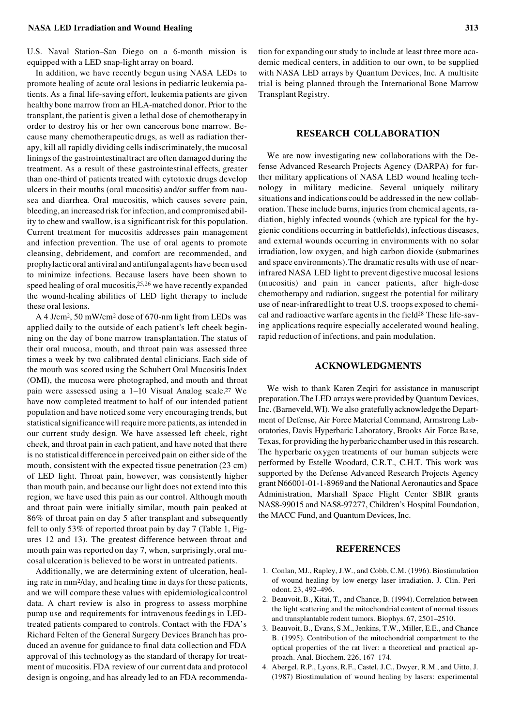U.S. Naval Station–San Diego on a 6-month mission is equipped with a LED snap-light array on board.

In addition, we have recently begun using NASA LEDs to promote healing of acute oral lesions in pediatric leukemia patients. As a final life-saving effort, leukemia patients are given healthy bone marrow from an HLA-matched donor. Prior to the transplant, the patient is given a lethal dose of chemotherapy in order to destroy his or her own cancerous bone marrow. Be cause many chemotherapeutic drugs, as well as radiation therapy, kill all rapidly dividing cells indiscriminately, the mucosal linings of the gastrointestinal tract are often damaged during the treatment. As a result of these gastrointestinal effects, greater than one-third of patients treated with cytotoxic drugs develop ulcers in their mouths (oral mucositis) and/or suffer from nausea and diarrhea. Oral mucositis, which causes severe pain, bleeding, an increased risk for infection, and compromised ability to chew and swallow, is a significant risk for this population. Current treatment for mucositis addresses pain management and infection prevention. The use of oral agents to promote cleansing, debridement, and comfort are recommended, and prophylactic oral antiviral and antifungal agents have been used to minimize infections. Because lasers have been shown to speed healing of oral mucositis,25,26 we have recently expanded the wound-healing abilities of LED light therapy to include these oral lesions.

A 4 J/cm2, 50 mW/cm2 dose of 670-nm light from LEDs was applied daily to the outside of each patient's left cheek beginning on the day of bone marrow transplantation. The status of their oral mucosa, mouth, and throat pain was assessed three times a week by two calibrated dental clinicians. Each side of the mouth was scored using the Schubert Oral Mucositis Index (OMI), the mucosa were photographed, and mouth and throat pain were assessed using a 1–10 Visual Analog scale.27 We have now completed treatment to half of our intended patient population and have noticed some very encouraging trends, but statistical significance will require more patients, as intended in our current study design. We have assessed left cheek, right cheek, and throat pain in each patient, and have noted that there is no statistical difference in perceived pain on either side of the mouth, consistent with the expected tissue penetration (23 cm) of LED light. Throat pain, however, was consistently higher than mouth pain, and because our light does not extend into this region, we have used this pain as our control. Although mouth and throat pain were initially similar, mouth pain peaked at 86% of throat pain on day 5 after transplant and subsequently fell to only 53% of reported throat pain by day 7 (Table 1, Fig ures 12 and 13). The greatest difference between throat and mouth pain was reported on day 7, when, surprisingly, oral mu cosal ulceration is believed to be worst in untreated patients.

Additionally, we are determining extent of ulceration, healing rate in mm2/day, and healing time in days for these patients, and we will compare these values with epidemiological control data. A chart review is also in progress to assess morphine pump use and requirements for intravenous feedings in LEDtreated patients compared to controls. Contact with the FDA's Richard Felten of the General Surgery Devices Branch has produced an avenue for guidance to final data collection and FDA approval of this technology as the standard of therapy for treatment of mucositis. FDA review of our current data and protocol design is ongoing, and has already led to an FDA recommendation for expanding our study to include at least three more aca demic medical centers, in addition to our own, to be supplied with NASA LED arrays by Quantum Devices, Inc. A multisite trial is being planned through the International Bone Marrow Transplant Registry.

# **RESEARCH COLLABORATION**

We are now investigating new collaborations with the Defense Advanced Research Projects Agency (DARPA) for further military applications of NASA LED wound healing technology in military medicine. Several uniquely military situations and indications could be addressed in the new collaboration. These include burns, injuries from chemical agents, ra diation, highly infected wounds (which are typical for the hygienic conditions occurring in battlefields), infectious diseases, and external wounds occurring in environments with no solar irradiation, low oxygen, and high carbon dioxide (submarines and space environments). The dramatic results with use of nearinfrared NASA LED light to prevent digestive mucosal lesions (mucositis) and pain in cancer patients, after high-dose chemotherapy and radiation, suggest the potential for military use of near-infrared light to treat U.S. troops exposed to chemical and radioactive warfare agents in the field28 These life-saving applications require especially accelerated wound healing, rapid reduction of infections, and pain modulation.

# **ACKNOWLEDGMENTS**

We wish to thank Karen Zeqiri for assistance in manuscript preparation. The LED arrays were provided by Quantum Devices, Inc. (Barneveld, WI). We also gratefully acknowledge the Department of Defense, Air Force Material Command, Armstrong Laboratories, Davis Hyperbaric Laboratory, Brooks Air Force Base, Texas, for providing the hyperbaric chamber used in this research. The hyperbaric oxygen treatments of our human subjects were performed by Estelle Woodard, C.R.T., C.H.T. This work was supported by the Defense Advanced Research Projects Agency grant N66001-01-1-8969 and the National Aeronautics and Space Administration, Marshall Space Flight Center SBIR grants NAS8-99015 and NAS8-97277, Children's Hospital Foundation, the MACC Fund, and Quantum Devices, Inc.

# **REFERENCES**

- 1. Conlan, MJ., Rapley, J.W., and Cobb, C.M. (1996). Biostimulation of wound healing by low-energy laser irradiation. J. Clin. Periodont. 23, 492–496.
- 2. Beauvoit, B., Kitai, T., and Chance, B. (1994). Correlation between the light scattering and the mitochondrial content of normal tissues and transplantable rodent tumors. Biophys. 67, 2501–2510.
- 3. Beauvoit, B., Evans, S.M., Jenkins, T.W., Miller, E.E., and Chance B. (1995). Contribution of the mitochondrial compartment to the optical properties of the rat liver: a theoretical and practical approach. Anal. Biochem. 226, 167–174.
- 4. Abergel, R.P., Lyons, R.F., Castel, J.C., Dwyer, R.M., and Uitto, J. (1987) Biostimulation of wound healing by lasers: experimental